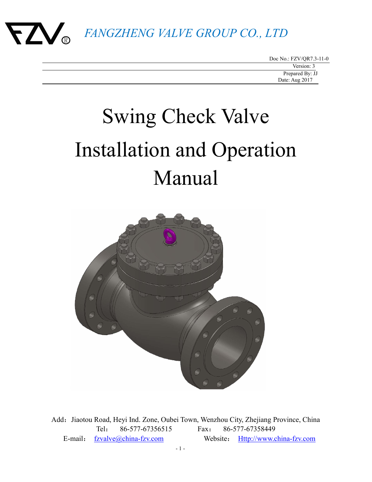

Doc No.: FZV/QR7.3-11-0

# Swing Check Valve Installation and Operation Manual



Add: Jiaotou Road, Heyi Ind. Zone, Oubei Town, Wenzhou City, Zhejiang Province, China Tel: 86-577-67356515 Fax: 86-577-67358449 E-mail: fzvalve@china-fzv.com Website: Http://www.china-fzv.com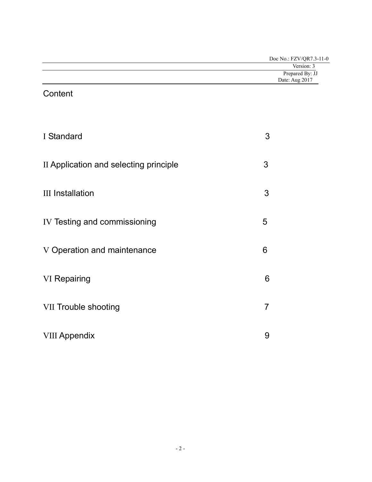| Doc No.: FZV/QR7.3-11-0 |
|-------------------------|
| Version: 3              |
| Prepared By: JJ         |
| Date: Aug 2017          |
|                         |

## **Content**

| I Standard                             | 3 |
|----------------------------------------|---|
| II Application and selecting principle | 3 |
| <b>III</b> Installation                | 3 |
| IV Testing and commissioning           | 5 |
| V Operation and maintenance            | 6 |
| <b>VI</b> Repairing                    | 6 |
| <b>VII Trouble shooting</b>            | 7 |
| <b>VIII Appendix</b>                   | 9 |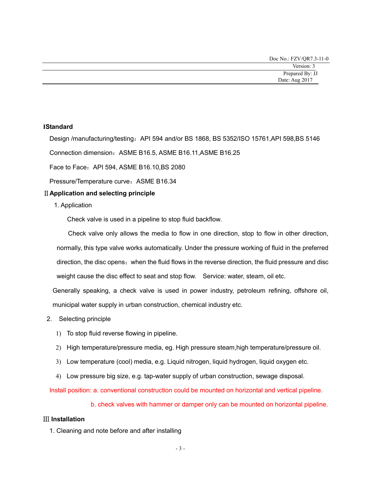Doc No.: FZV/QR7.3-11-0

#### **IStandard**

Design /manufacturing/testing: API 594 and/or BS 1868, BS 5352/ISO 15761,API 598,BS 5146

Connection dimension:ASME B16.5, ASME B16.11,ASME B16.25

Face to Face:API 594, ASME B16.10,BS 2080

Pressure/Temperature curve: ASME B16.34

#### ⅡApplication and selecting principle

1. Application

Check valve is used in a pipeline to stop fluid backflow.

Check valve only allows the media to flow in one direction, stop to flow in other direction, normally, this type valve works automatically. Under the pressure working of fluid in the preferred direction, the disc opens;when the fluid flows in the reverse direction, the fluid pressure and disc weight cause the disc effect to seat and stop flow. Service: water, steam, oil etc.

Generally speaking, a check valve is used in power industry, petroleum refining, offshore oil, municipal water supply in urban construction, chemical industry etc.

- 2. Selecting principle
	- 1) To stop fluid reverse flowing in pipeline.
	- 2) High temperature/pressure media, eg. High pressure steam,high temperature/pressure oil.
	- 3) Low temperature (cool) media, e.g. Liquid nitrogen, liquid hydrogen, liquid oxygen etc.
	- 4) Low pressure big size, e.g. tap-water supply of urban construction, sewage disposal.

Install position: a. conventional construction could be mounted on horizontal and vertical pipeline.

b. check valves with hammer or damper only can be mounted on horizontal pipeline.

#### Ⅲ Installation

1. Cleaning and note before and after installing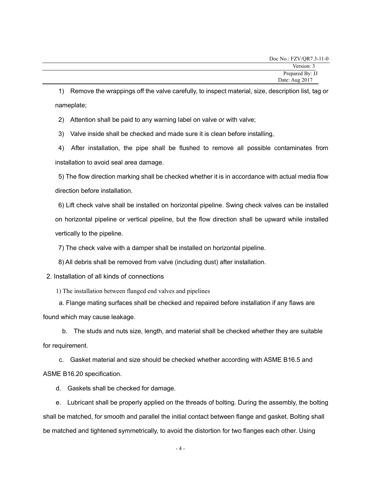| Doc No.: FZV/QR7.3-11-0 |
|-------------------------|
| Version: 3              |
| Prepared By: JJ         |
| Date: Aug 2017          |

1) Remove the wrappings off the valve carefully, to inspect material, size, description list, tag or nameplate;

2) Attention shall be paid to any warning label on valve or with valve;

3) Valve inside shall be checked and made sure it is clean before installing,

4) After installation, the pipe shall be flushed to remove all possible contaminates from installation to avoid seal area damage.

5) The flow direction marking shall be checked whether it is in accordance with actual media flow direction before installation.

6) Lift check valve shall be installed on horizontal pipeline. Swing check valves can be installed on horizontal pipeline or vertical pipeline, but the flow direction shall be upward while installed vertically to the pipeline.

7) The check valve with a damper shall be installed on horizontal pipeline.

8) All debris shall be removed from valve (including dust) after installation.

2. Installation of all kinds of connections

1) The installation between flanged end valves and pipelines

a. Flange mating surfaces shall be checked and repaired before installation if any flaws are found which may cause leakage.

b. The studs and nuts size, length, and material shall be checked whether they are suitable for requirement.

c. Gasket material and size should be checked whether according with ASME B16.5 and ASME B16.20 specification.

d. Gaskets shall be checked for damage.

e. Lubricant shall be properly applied on the threads of bolting. During the assembly, the bolting shall be matched, for smooth and parallel the initial contact between flange and gasket. Bolting shall be matched and tightened symmetrically, to avoid the distortion for two flanges each other. Using

- 4 -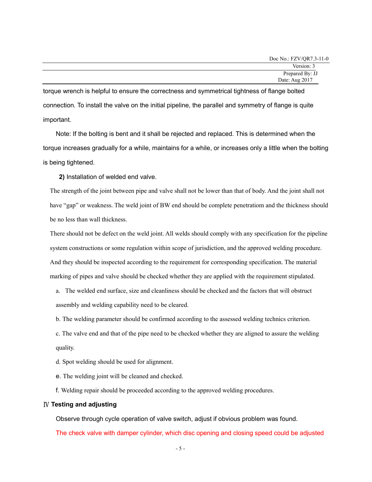torque wrench is helpful to ensure the correctness and symmetrical tightness of flange bolted connection. To install the valve on the initial pipeline, the parallel and symmetry of flange is quite important.

Note: If the bolting is bent and it shall be rejected and replaced. This is determined when the torque increases gradually for a while, maintains for a while, or increases only a little when the bolting is being tightened.

2) Installation of welded end valve.

The strength of the joint between pipe and valve shall not be lower than that of body. And the joint shall not have "gap" or weakness. The weld joint of BW end should be complete penetratiom and the thickness should be no less than wall thickness.

There should not be defect on the weld joint. All welds should comply with any specification for the pipeline system constructions or some regulation within scope of jurisdiction, and the approved welding procedure. And they should be inspected according to the requirement for corresponding specification. The material marking of pipes and valve should be checked whether they are applied with the requirement stipulated.

a. The welded end surface, size and cleanliness should be checked and the factors that will obstruct assembly and welding capability need to be cleared.

b. The welding parameter should be confirmed according to the assessed welding technics criterion.

c. The valve end and that of the pipe need to be checked whether they are aligned to assure the welding quality.

d. Spot welding should be used for alignment.

e. The welding joint will be cleaned and checked.

f. Welding repair should be proceeded according to the approved welding procedures.

#### Ⅳ Testing and adjusting

Observe through cycle operation of valve switch, adjust if obvious problem was found.

The check valve with damper cylinder, which disc opening and closing speed could be adjusted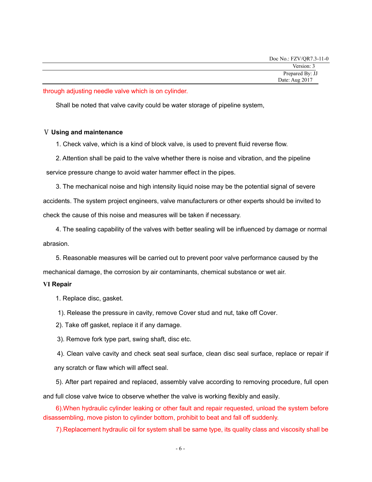through adjusting needle valve which is on cylinder.

Shall be noted that valve cavity could be water storage of pipeline system,

#### Ⅴ Using and maintenance

1. Check valve, which is a kind of block valve, is used to prevent fluid reverse flow.

2. Attention shall be paid to the valve whether there is noise and vibration, and the pipeline

service pressure change to avoid water hammer effect in the pipes.

3. The mechanical noise and high intensity liquid noise may be the potential signal of severe accidents. The system project engineers, valve manufacturers or other experts should be invited to check the cause of this noise and measures will be taken if necessary.

4. The sealing capability of the valves with better sealing will be influenced by damage or normal abrasion.

5. Reasonable measures will be carried out to prevent poor valve performance caused by the mechanical damage, the corrosion by air contaminants, chemical substance or wet air.

#### Ⅵ Repair

1. Replace disc, gasket.

1). Release the pressure in cavity, remove Cover stud and nut, take off Cover.

2). Take off gasket, replace it if any damage.

3). Remove fork type part, swing shaft, disc etc.

4). Clean valve cavity and check seat seal surface, clean disc seal surface, replace or repair if any scratch or flaw which will affect seal.

5). After part repaired and replaced, assembly valve according to removing procedure, full open and full close valve twice to observe whether the valve is working flexibly and easily.

6).When hydraulic cylinder leaking or other fault and repair requested, unload the system before disassembling, move piston to cylinder bottom, prohibit to beat and fall off suddenly.

7).Replacement hydraulic oil for system shall be same type, its quality class and viscosity shall be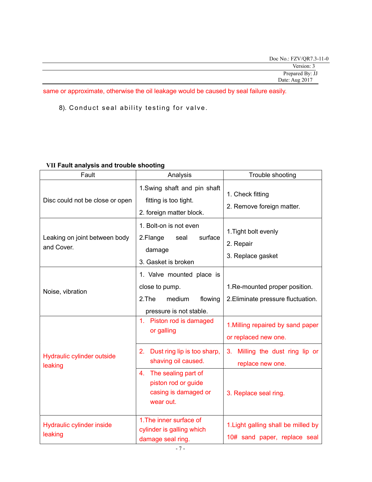| Doc No.: FZV/QR7.3-11-0 |  |
|-------------------------|--|
| Version: 3              |  |
| Prepared By: JJ         |  |
| Date: Aug 2017          |  |

same or approximate, otherwise the oil leakage would be caused by seal failure easily.

8). Conduct seal ability testing for valve.

### Ⅶ Fault analysis and trouble shooting

| Fault                                       | Analysis                                                                                             | Trouble shooting                                                     |
|---------------------------------------------|------------------------------------------------------------------------------------------------------|----------------------------------------------------------------------|
| Disc could not be close or open             | 1. Swing shaft and pin shaft<br>fitting is too tight.<br>2. foreign matter block.                    | 1. Check fitting<br>2. Remove foreign matter.                        |
| Leaking on joint between body<br>and Cover. | 1. Bolt-on is not even<br>surface<br>2.Flange<br>seal<br>damage<br>3. Gasket is broken               | 1. Tight bolt evenly<br>2. Repair<br>3. Replace gasket               |
| Noise, vibration                            | 1. Valve mounted place is<br>close to pump.<br>2.The<br>medium<br>flowing<br>pressure is not stable. | 1. Re-mounted proper position.<br>2. Eliminate pressure fluctuation. |
|                                             | 1. Piston rod is damaged<br>or galling                                                               | 1. Milling repaired by sand paper<br>or replaced new one.            |
| Hydraulic cylinder outside<br>leaking       | 2. Dust ring lip is too sharp,<br>shaving oil caused.                                                | Milling the dust ring lip or<br>3.<br>replace new one.               |
|                                             | 4. The sealing part of<br>piston rod or guide<br>casing is damaged or<br>wear out.                   | 3. Replace seal ring.                                                |
| Hydraulic cylinder inside<br>leaking        | 1. The inner surface of<br>cylinder is galling which<br>damage seal ring.                            | 1. Light galling shall be milled by<br>10# sand paper, replace seal  |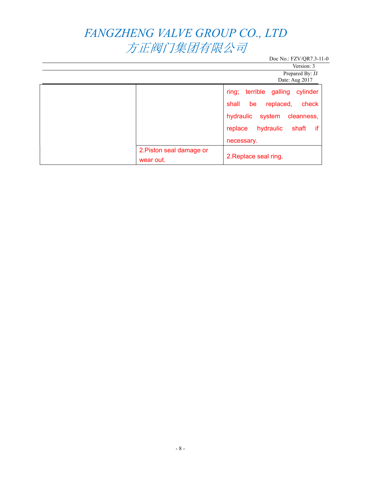# FANGZHENG VALVE GROUP CO., LTD 方正阀门集团有限公司

Doc No.: FZV/QR7.3-11-0

Version: 3 Prepared By: JJ

Date: Aug 2017

|                          | $\rightarrow$ $\cdots$ $\rightarrow$ $\rightarrow$ $\cdots$ |
|--------------------------|-------------------------------------------------------------|
|                          | ring;<br>terrible galling cylinder                          |
|                          | check<br>shall<br>be<br>replaced,                           |
|                          | hydraulic system<br>cleanness,                              |
|                          | shaft if<br>hydraulic<br>replace                            |
|                          | necessary.                                                  |
| 2. Piston seal damage or | 2. Replace seal ring.                                       |
| wear out.                |                                                             |